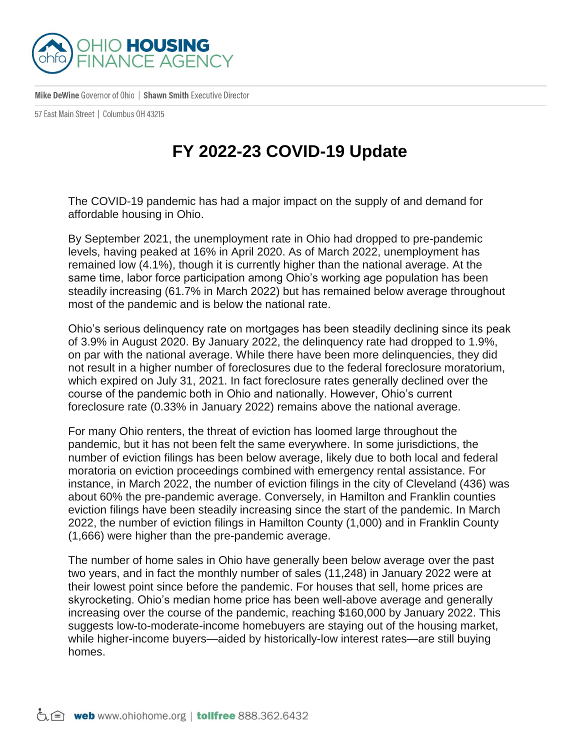

Mike DeWine Governor of Ohio | Shawn Smith Executive Director

57 East Main Street | Columbus 0H 43215

## **FY 2022-23 COVID-19 Update**

The COVID-19 pandemic has had a major impact on the supply of and demand for affordable housing in Ohio.

By September 2021, the unemployment rate in Ohio had dropped to pre-pandemic levels, having peaked at 16% in April 2020. As of March 2022, unemployment has remained low (4.1%), though it is currently higher than the national average. At the same time, labor force participation among Ohio's working age population has been steadily increasing (61.7% in March 2022) but has remained below average throughout most of the pandemic and is below the national rate.

Ohio's serious delinquency rate on mortgages has been steadily declining since its peak of 3.9% in August 2020. By January 2022, the delinquency rate had dropped to 1.9%, on par with the national average. While there have been more delinquencies, they did not result in a higher number of foreclosures due to the federal foreclosure moratorium, which expired on July 31, 2021. In fact foreclosure rates generally declined over the course of the pandemic both in Ohio and nationally. However, Ohio's current foreclosure rate (0.33% in January 2022) remains above the national average.

For many Ohio renters, the threat of eviction has loomed large throughout the pandemic, but it has not been felt the same everywhere. In some jurisdictions, the number of eviction filings has been below average, likely due to both local and federal moratoria on eviction proceedings combined with emergency rental assistance. For instance, in March 2022, the number of eviction filings in the city of Cleveland (436) was about 60% the pre-pandemic average. Conversely, in Hamilton and Franklin counties eviction filings have been steadily increasing since the start of the pandemic. In March 2022, the number of eviction filings in Hamilton County (1,000) and in Franklin County (1,666) were higher than the pre-pandemic average.

The number of home sales in Ohio have generally been below average over the past two years, and in fact the monthly number of sales (11,248) in January 2022 were at their lowest point since before the pandemic. For houses that sell, home prices are skyrocketing. Ohio's median home price has been well-above average and generally increasing over the course of the pandemic, reaching \$160,000 by January 2022. This suggests low-to-moderate-income homebuyers are staying out of the housing market, while higher-income buyers—aided by historically-low interest rates—are still buying homes.